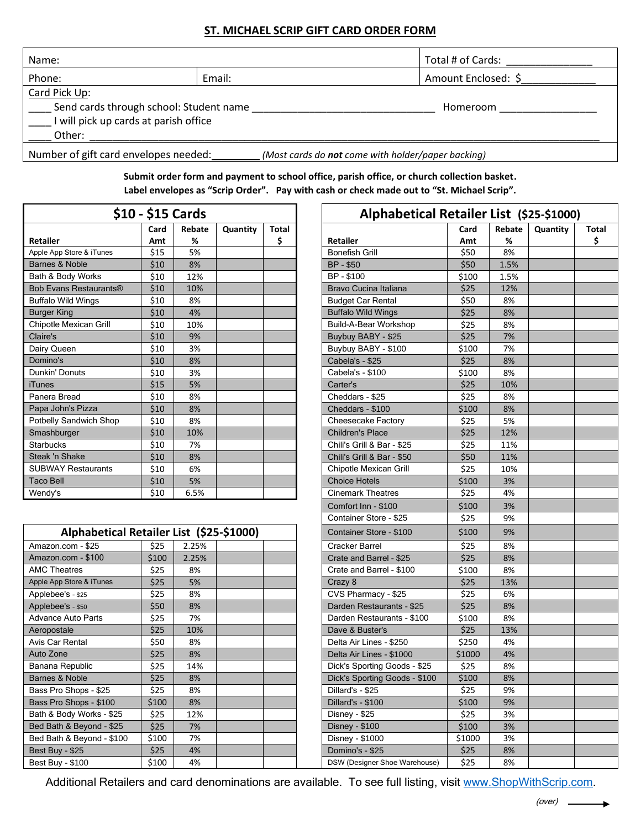## **ST. MICHAEL SCRIP GIFT CARD ORDER FORM**

| Name:                                                                                                       |        | Total # of Cards:   |  |  |  |  |  |
|-------------------------------------------------------------------------------------------------------------|--------|---------------------|--|--|--|--|--|
| Phone:                                                                                                      | Email: | Amount Enclosed: \$ |  |  |  |  |  |
| Card Pick Up:<br>Send cards through school: Student name<br>I will pick up cards at parish office<br>Other: |        | Homeroom            |  |  |  |  |  |
| Number of gift card envelopes needed:<br>(Most cards do <b>not</b> come with holder/paper backing)          |        |                     |  |  |  |  |  |

**Submit order form and payment to school office, parish office, or church collection basket. Label envelopes as "Scrip Order". Pay with cash or check made out to "St. Michael Scrip".** 

| \$10 - \$15 Cards             |      |        |          |              | <b>Alphabetical Retailer List</b> |       |       |  |
|-------------------------------|------|--------|----------|--------------|-----------------------------------|-------|-------|--|
|                               | Card | Rebate | Quantity | <b>Total</b> |                                   | Card  | Rebat |  |
| <b>Retailer</b>               | Amt  | %      |          | \$           | Retailer                          | Amt   | %     |  |
| Apple App Store & iTunes      | \$15 | 5%     |          |              | <b>Bonefish Grill</b>             | \$50  | 8%    |  |
| Barnes & Noble                | \$10 | 8%     |          |              | <b>BP-\$50</b>                    | \$50  | 1.5%  |  |
| Bath & Body Works             | \$10 | 12%    |          |              | BP - \$100                        | \$100 | 1.5%  |  |
| <b>Bob Evans Restaurants®</b> | \$10 | 10%    |          |              | Bravo Cucina Italiana             | \$25  | 12%   |  |
| <b>Buffalo Wild Wings</b>     | \$10 | 8%     |          |              | <b>Budget Car Rental</b>          | \$50  | 8%    |  |
| <b>Burger King</b>            | \$10 | 4%     |          |              | <b>Buffalo Wild Wings</b>         | \$25  | 8%    |  |
| Chipotle Mexican Grill        | \$10 | 10%    |          |              | Build-A-Bear Workshop             | \$25  | 8%    |  |
| Claire's                      | \$10 | 9%     |          |              | Buybuy BABY - \$25                | \$25  | 7%    |  |
| Dairy Queen                   | \$10 | 3%     |          |              | Buybuy BABY - \$100               |       | 7%    |  |
| Domino's                      | \$10 | 8%     |          |              | Cabela's - \$25                   |       | 8%    |  |
| Dunkin' Donuts                | \$10 | 3%     |          |              | Cabela's - \$100                  |       | 8%    |  |
| iTunes                        | \$15 | 5%     |          |              | Carter's                          | \$25  | 10%   |  |
| Panera Bread                  | \$10 | 8%     |          |              | Cheddars - \$25                   | \$25  | 8%    |  |
| Papa John's Pizza             | \$10 | 8%     |          |              | Cheddars - \$100                  | \$100 | 8%    |  |
| Potbelly Sandwich Shop        | \$10 | 8%     |          |              | Cheesecake Factory                | \$25  | 5%    |  |
| Smashburger                   | \$10 | 10%    |          |              | <b>Children's Place</b>           | \$25  | 12%   |  |
| <b>Starbucks</b>              | \$10 | 7%     |          |              | Chili's Grill & Bar - \$25        | \$25  | 11%   |  |
| Steak 'n Shake                | \$10 | 8%     |          |              | Chili's Grill & Bar - \$50        | \$50  | 11%   |  |
| <b>SUBWAY Restaurants</b>     | \$10 | 6%     |          |              | Chipotle Mexican Grill            | \$25  | 10%   |  |
| <b>Taco Bell</b>              | \$10 | 5%     |          |              | <b>Choice Hotels</b>              | \$100 | 3%    |  |
| Wendy's                       | \$10 | 6.5%   |          |              | <b>Cinemark Theatres</b>          | \$25  | 4%    |  |

| Alphabetical Retailer List (\$25-\$1000) |       | Container Store - \$100 | \$100 |                               |        |  |
|------------------------------------------|-------|-------------------------|-------|-------------------------------|--------|--|
| Amazon.com - \$25                        | \$25  | 2.25%                   |       | Cracker Barrel                | \$25   |  |
| Amazon.com - \$100                       | \$100 | 2.25%                   |       | Crate and Barrel - \$25       | \$25   |  |
| <b>AMC Theatres</b>                      | \$25  | 8%                      |       | Crate and Barrel - \$100      | \$100  |  |
| Apple App Store & iTunes                 | \$25  | 5%                      |       | Crazy 8                       | \$25   |  |
| Applebee's - \$25                        | \$25  | 8%                      |       | CVS Pharmacy - \$25           | \$25   |  |
| Applebee's - \$50                        | \$50  | 8%                      |       | Darden Restaurants - \$25     | \$25   |  |
| <b>Advance Auto Parts</b>                | \$25  | 7%                      |       | Darden Restaurants - \$100    | \$100  |  |
| Aeropostale                              | \$25  | 10%                     |       | Dave & Buster's               | \$25   |  |
| Avis Car Rental                          | \$50  | 8%                      |       | Delta Air Lines - \$250       | \$250  |  |
| Auto Zone                                | \$25  | 8%                      |       | Delta Air Lines - \$1000      | \$1000 |  |
| Banana Republic                          | \$25  | 14%                     |       | Dick's Sporting Goods - \$25  | \$25   |  |
| Barnes & Noble                           | \$25  | 8%                      |       | Dick's Sporting Goods - \$100 | \$100  |  |
| Bass Pro Shops - \$25                    | \$25  | 8%                      |       | Dillard's - \$25              | \$25   |  |
| Bass Pro Shops - \$100                   | \$100 | 8%                      |       | Dillard's - \$100             | \$100  |  |
| Bath & Body Works - \$25                 | \$25  | 12%                     |       | Disney - \$25                 | \$25   |  |
| Bed Bath & Beyond - \$25                 | \$25  | 7%                      |       | <b>Disney - \$100</b>         | \$100  |  |
| Bed Bath & Beyond - \$100                | \$100 | 7%                      |       | Disney - \$1000               | \$1000 |  |
| Best Buy - \$25                          | \$25  | 4%                      |       | Domino's - \$25               | \$25   |  |
| Best Buy - \$100                         | \$100 | 4%                      |       | DSW (Designer Shoe Warehouse) | \$25   |  |

| \$10 - \$15 Cards |       |        |                                 |       |                               | Alphabetical Retailer List (\$25-\$1000) |        |          |       |
|-------------------|-------|--------|---------------------------------|-------|-------------------------------|------------------------------------------|--------|----------|-------|
|                   | Card  | Rebate | Quantity                        | Total |                               | Card                                     | Rebate | Quantity | Total |
|                   | Amt   | %      |                                 | \$    | Retailer                      | Amt                                      | %      |          | \$    |
|                   | \$15  | 5%     |                                 |       | <b>Bonefish Grill</b>         | \$50                                     | 8%     |          |       |
|                   | \$10  | 8%     |                                 |       | BP - \$50                     | \$50                                     | 1.5%   |          |       |
|                   | \$10  | 12%    |                                 |       | BP - \$100                    | \$100                                    | 1.5%   |          |       |
| s®                | \$10  | 10%    |                                 |       | Bravo Cucina Italiana         | \$25                                     | 12%    |          |       |
|                   | \$10  | 8%     |                                 |       | <b>Budget Car Rental</b>      | \$50                                     | 8%     |          |       |
|                   | \$10  | 4%     |                                 |       | <b>Buffalo Wild Wings</b>     | \$25                                     | 8%     |          |       |
|                   | \$10  | 10%    |                                 |       | Build-A-Bear Workshop         | \$25                                     | 8%     |          |       |
|                   | \$10  | 9%     |                                 |       | Buybuy BABY - \$25            | \$25                                     | 7%     |          |       |
|                   | \$10  | 3%     |                                 |       | Buybuy BABY - \$100           | \$100                                    | 7%     |          |       |
|                   | \$10  | 8%     |                                 |       | Cabela's - \$25               | \$25                                     | 8%     |          |       |
|                   | \$10  | 3%     |                                 |       | Cabela's - \$100              | \$100                                    | 8%     |          |       |
|                   | \$15  | 5%     |                                 |       | Carter's                      | \$25                                     | 10%    |          |       |
|                   | \$10  | 8%     |                                 |       | Cheddars - \$25               | \$25                                     | 8%     |          |       |
|                   | \$10  | 8%     |                                 |       | Cheddars - \$100              | \$100                                    | 8%     |          |       |
| ١p                | \$10  | 8%     |                                 |       | Cheesecake Factory            | \$25                                     | 5%     |          |       |
|                   | \$10  | 10%    |                                 |       | <b>Children's Place</b>       | \$25                                     | 12%    |          |       |
|                   | \$10  | 7%     |                                 |       | Chili's Grill & Bar - \$25    | \$25                                     | 11%    |          |       |
|                   | \$10  | 8%     |                                 |       | Chili's Grill & Bar - \$50    | \$50                                     | 11%    |          |       |
|                   | \$10  | 6%     |                                 |       | Chipotle Mexican Grill        | \$25                                     | 10%    |          |       |
|                   | \$10  | 5%     |                                 |       | <b>Choice Hotels</b>          | \$100                                    | 3%     |          |       |
|                   | \$10  | 6.5%   |                                 |       | <b>Cinemark Theatres</b>      | \$25                                     | 4%     |          |       |
|                   |       |        |                                 |       | Comfort Inn - \$100           | \$100                                    | 3%     |          |       |
|                   |       |        |                                 |       | Container Store - \$25        | \$25                                     | 9%     |          |       |
|                   |       |        | cal Retailer List (\$25-\$1000) |       | Container Store - \$100       | \$100                                    | 9%     |          |       |
|                   | \$25  | 2.25%  |                                 |       | <b>Cracker Barrel</b>         | \$25                                     | 8%     |          |       |
|                   | \$100 | 2.25%  |                                 |       | Crate and Barrel - \$25       | \$25                                     | 8%     |          |       |
|                   | \$25  | 8%     |                                 |       | Crate and Barrel - \$100      | \$100                                    | 8%     |          |       |
|                   | \$25  | 5%     |                                 |       | Crazy 8                       | \$25                                     | 13%    |          |       |
|                   | \$25  | 8%     |                                 |       | CVS Pharmacy - \$25           | \$25                                     | 6%     |          |       |
|                   | \$50  | 8%     |                                 |       | Darden Restaurants - \$25     | \$25                                     | 8%     |          |       |
|                   | \$25  | 7%     |                                 |       | Darden Restaurants - \$100    | \$100                                    | 8%     |          |       |
|                   | \$25  | 10%    |                                 |       | Dave & Buster's               | \$25                                     | 13%    |          |       |
|                   | \$50  | 8%     |                                 |       | Delta Air Lines - \$250       | \$250                                    | 4%     |          |       |
|                   | \$25  | 8%     |                                 |       | Delta Air Lines - \$1000      | \$1000                                   | 4%     |          |       |
|                   | \$25  | 14%    |                                 |       | Dick's Sporting Goods - \$25  | \$25                                     | 8%     |          |       |
|                   | \$25  | 8%     |                                 |       | Dick's Sporting Goods - \$100 | \$100                                    | 8%     |          |       |
|                   | \$25  | 8%     |                                 |       | Dillard's - \$25              | \$25                                     | 9%     |          |       |
|                   | \$100 | 8%     |                                 |       | Dillard's - \$100             | \$100                                    | 9%     |          |       |
| 25                | \$25  | 12%    |                                 |       | Disney - \$25                 | \$25                                     | 3%     |          |       |
| 25                | \$25  | 7%     |                                 |       | <b>Disney - \$100</b>         | \$100                                    | 3%     |          |       |
| 100               | \$100 | 7%     |                                 |       | Disney - \$1000               | \$1000                                   | 3%     |          |       |
|                   | \$25  | 4%     |                                 |       | Domino's - \$25               | \$25                                     | 8%     |          |       |
|                   | 5100  | 1%     |                                 |       | DSW (Designer Shoe Warehouse) | ぐつら                                      | $9\%$  |          |       |

Additional Retailers and card denominations are available. To see full listing, visit [www.ShopWithScrip.com.](http://www.shopwithscrip.com/)

÷.